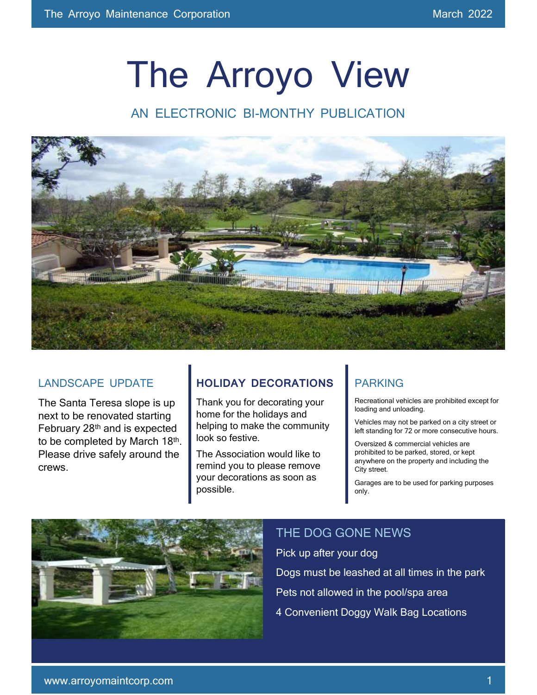# The Arroyo View

AN FI FCTRONIC BI-MONTHY PUBLICATION



#### LANDSCAPE UPDATE

The Santa Teresa slope is up next to be renovated starting February 28th and is expected to be completed by March 18<sup>th</sup>. Please drive safely around the crews.

#### **HOLIDAY DECORATIONS**

Thank you for decorating your home for the holidays and helping to make the community look so festive.

The Association would like to remind you to please remove your decorations as soon as possible.

#### PARKING

Recreational vehicles are prohibited except for loading and unloading.

Vehicles may not be parked on a city street or left standing for 72 or more consecutive hours.

Oversized & commercial vehicles are prohibited to be parked, stored, or kept anywhere on the property and including the City street.

Garages are to be used for parking purposes only.



#### THE DOG GONE NEWS

Pick up after your dog

Dogs must be leashed at all times in the park

Pets not allowed in the pool/spa area

4 Convenient Doggy Walk Bag Locations

 $\overline{\phantom{a}}$